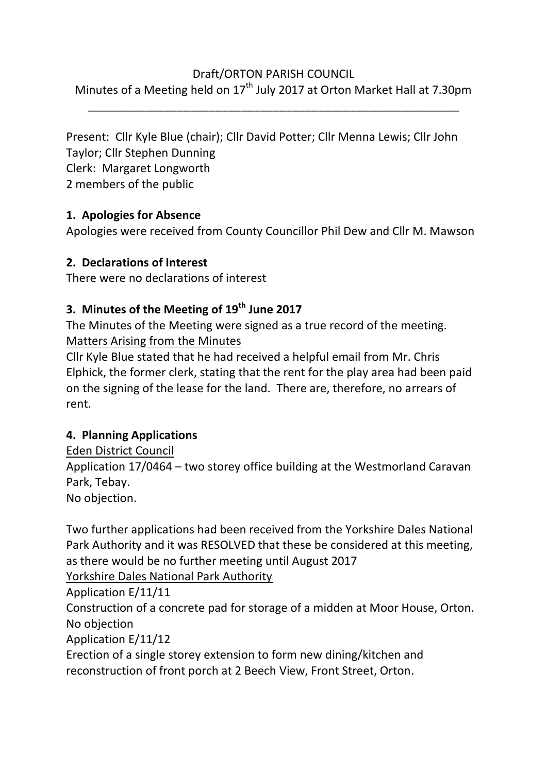### Draft/ORTON PARISH COUNCIL

Minutes of a Meeting held on  $17<sup>th</sup>$  July 2017 at Orton Market Hall at 7.30pm \_\_\_\_\_\_\_\_\_\_\_\_\_\_\_\_\_\_\_\_\_\_\_\_\_\_\_\_\_\_\_\_\_\_\_\_\_\_\_\_\_\_\_\_\_\_\_\_\_\_\_\_\_\_\_\_\_\_

Present: Cllr Kyle Blue (chair); Cllr David Potter; Cllr Menna Lewis; Cllr John Taylor; Cllr Stephen Dunning Clerk: Margaret Longworth 2 members of the public

# **1. Apologies for Absence**

Apologies were received from County Councillor Phil Dew and Cllr M. Mawson

# **2. Declarations of Interest**

There were no declarations of interest

# **3. Minutes of the Meeting of 19th June 2017**

The Minutes of the Meeting were signed as a true record of the meeting. Matters Arising from the Minutes

Cllr Kyle Blue stated that he had received a helpful email from Mr. Chris Elphick, the former clerk, stating that the rent for the play area had been paid on the signing of the lease for the land. There are, therefore, no arrears of rent.

# **4. Planning Applications**

Eden District Council Application 17/0464 – two storey office building at the Westmorland Caravan Park, Tebay. No objection.

Two further applications had been received from the Yorkshire Dales National Park Authority and it was RESOLVED that these be considered at this meeting, as there would be no further meeting until August 2017 Yorkshire Dales National Park Authority

Application E/11/11

Construction of a concrete pad for storage of a midden at Moor House, Orton. No objection

Application E/11/12

Erection of a single storey extension to form new dining/kitchen and reconstruction of front porch at 2 Beech View, Front Street, Orton.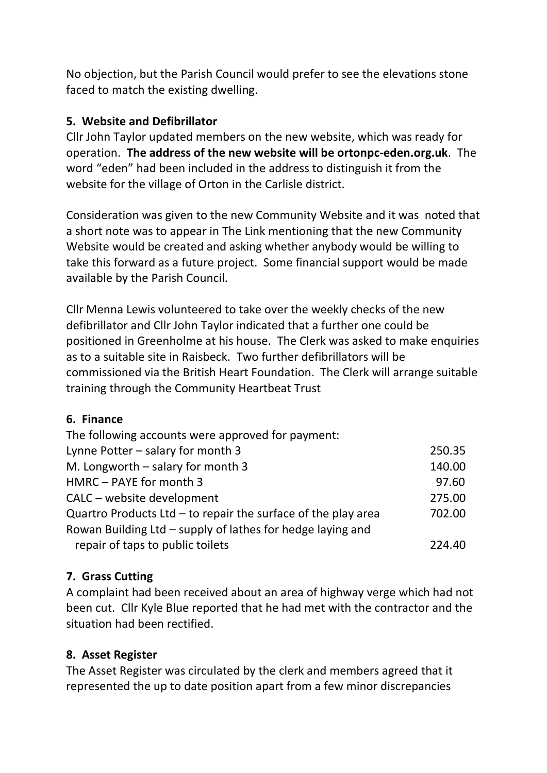No objection, but the Parish Council would prefer to see the elevations stone faced to match the existing dwelling.

### **5. Website and Defibrillator**

Cllr John Taylor updated members on the new website, which was ready for operation. **The address of the new website will be ortonpc-eden.org.uk**. The word "eden" had been included in the address to distinguish it from the website for the village of Orton in the Carlisle district.

Consideration was given to the new Community Website and it was noted that a short note was to appear in The Link mentioning that the new Community Website would be created and asking whether anybody would be willing to take this forward as a future project. Some financial support would be made available by the Parish Council.

Cllr Menna Lewis volunteered to take over the weekly checks of the new defibrillator and Cllr John Taylor indicated that a further one could be positioned in Greenholme at his house. The Clerk was asked to make enquiries as to a suitable site in Raisbeck. Two further defibrillators will be commissioned via the British Heart Foundation. The Clerk will arrange suitable training through the Community Heartbeat Trust

#### **6. Finance**

| The following accounts were approved for payment:               |        |
|-----------------------------------------------------------------|--------|
| Lynne Potter - salary for month 3                               | 250.35 |
| M. Longworth $-$ salary for month 3                             | 140.00 |
| HMRC - PAYE for month 3                                         | 97.60  |
| CALC – website development                                      | 275.00 |
| Quartro Products Ltd $-$ to repair the surface of the play area | 702.00 |
| Rowan Building Ltd – supply of lathes for hedge laying and      |        |
| repair of taps to public toilets                                | 224.40 |

### **7. Grass Cutting**

A complaint had been received about an area of highway verge which had not been cut. Cllr Kyle Blue reported that he had met with the contractor and the situation had been rectified.

#### **8. Asset Register**

The Asset Register was circulated by the clerk and members agreed that it represented the up to date position apart from a few minor discrepancies